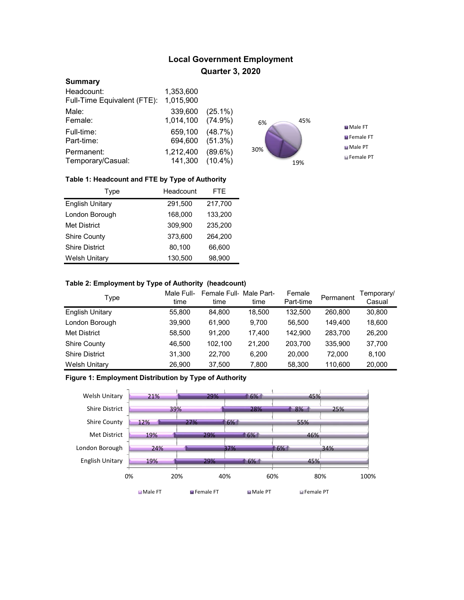# Local Government Employment Quarter 3, 2020

#### **Summary**

| Headcount:                  | 1,353,600 |            |
|-----------------------------|-----------|------------|
| Full-Time Equivalent (FTE): | 1,015,900 |            |
| Male:                       | 339,600   | $(25.1\%)$ |
| Female:                     | 1,014,100 | $(74.9\%)$ |
| Full-time:                  | 659,100   | (48.7%)    |
| Part-time:                  | 694,600   | (51.3%)    |
| Permanent:                  | 1,212,400 | $(89.6\%)$ |
| Temporary/Casual:           | 141,300   | $(10.4\%)$ |



## Table 1: Headcount and FTE by Type of Authority

| Type                   | Headcount | <b>FTE</b> |
|------------------------|-----------|------------|
| <b>English Unitary</b> | 291,500   | 217,700    |
| London Borough         | 168,000   | 133,200    |
| <b>Met District</b>    | 309.900   | 235.200    |
| <b>Shire County</b>    | 373.600   | 264.200    |
| <b>Shire District</b>  | 80,100    | 66,600     |
| <b>Welsh Unitary</b>   | 130,500   | 98,900     |

# Table 2: Employment by Type of Authority (headcount)

| Type                   | Male Full-<br>time | Female Full-Male Part-<br>time | time   | Female<br>Part-time | Permanent | Temporary/<br>Casual |
|------------------------|--------------------|--------------------------------|--------|---------------------|-----------|----------------------|
| <b>English Unitary</b> | 55,800             | 84.800                         | 18,500 | 132.500             | 260.800   | 30,800               |
| London Borough         | 39,900             | 61,900                         | 9.700  | 56,500              | 149.400   | 18,600               |
| <b>Met District</b>    | 58.500             | 91.200                         | 17.400 | 142.900             | 283.700   | 26,200               |
| <b>Shire County</b>    | 46.500             | 102.100                        | 21.200 | 203.700             | 335.900   | 37,700               |
| <b>Shire District</b>  | 31.300             | 22.700                         | 6.200  | 20,000              | 72.000    | 8,100                |
| <b>Welsh Unitary</b>   | 26,900             | 37,500                         | 7,800  | 58,300              | 110,600   | 20,000               |

#### Figure 1: Employment Distribution by Type of Authority